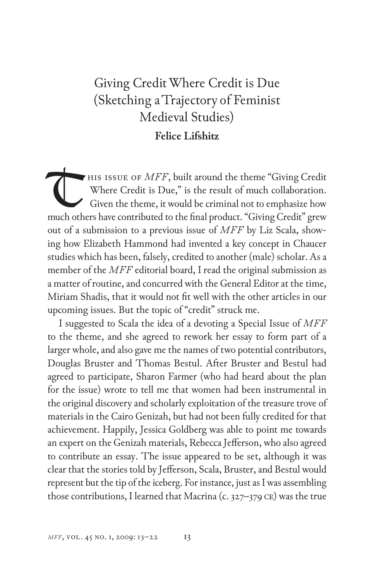## Giving Credit Where Credit is Due (Sketching aTrajectory of Feminist Medieval Studies) **Felice Lifshitz**

HIS ISSUE OF *MFF*, built around the theme "Giving Credit" Where Credit is Due," is the result of much collaboration. Given the theme, it would be criminal not to emphasize how much others have contributed to the final product. "Giving Credit" grew out of a submission to a previous issue of *MFF* by Liz Scala, showing how Elizabeth Hammond had invented a key concept in Chaucer studies which has been, falsely, credited to another (male) scholar. As a member of the *MFF* editorial board, I read the original submission as a matter of routine, and concurred with the General Editor at the time, Miriam Shadis, that it would not fit well with the other articles in our upcoming issues. But the topic of "credit" struck me. T

I suggested to Scala the idea of a devoting a Special Issue of *MFF* to the theme, and she agreed to rework her essay to form part of a larger whole, and also gave me the names of two potential contributors, Douglas Bruster and Thomas Bestul. After Bruster and Bestul had agreed to participate, Sharon Farmer (who had heard about the plan for the issue) wrote to tell me that women had been instrumental in the original discovery and scholarly exploitation of the treasure trove of materials in the Cairo Genizah, but had not been fully credited for that achievement. Happily, Jessica Goldberg was able to point me towards an expert on the Genizah materials, Rebecca Jefferson, who also agreed to contribute an essay. The issue appeared to be set, although it was clear that the stories told by Jefferson, Scala, Bruster, and Bestul would represent but the tip of the iceberg. For instance, just as I was assembling those contributions, I learned that Macrina (c.  $327-379$  CE) was the true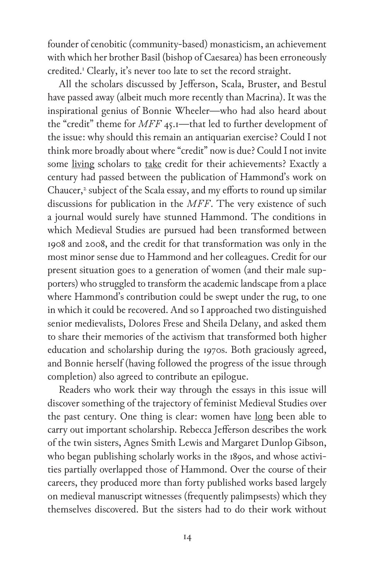founder of cenobitic (community-based) monasticism, an achievement with which her brother Basil (bishop of Caesarea) has been erroneously credited.<sup>1</sup> Clearly, it's never too late to set the record straight.

All the scholars discussed by Jefferson, Scala, Bruster, and Bestul have passed away (albeit much more recently than Macrina). It was the inspirational genius of Bonnie Wheeler—who had also heard about the "credit" theme for *MFF* 45.1—that led to further development of the issue: why should this remain an antiquarian exercise? Could I not think more broadly about where "credit" now is due? Could I not invite some living scholars to take credit for their achievements? Exactly a century had passed between the publication of Hammond's work on Chaucer,<sup>2</sup> subject of the Scala essay, and my efforts to round up similar discussions for publication in the *MFF*. The very existence of such a journal would surely have stunned Hammond. The conditions in which Medieval Studies are pursued had been transformed between 1908 and 2008, and the credit for that transformation was only in the most minor sense due to Hammond and her colleagues. Credit for our present situation goes to a generation of women (and their male supporters) who struggled to transform the academic landscape from a place where Hammond's contribution could be swept under the rug, to one in which it could be recovered. And so I approached two distinguished senior medievalists, Dolores Frese and Sheila Delany, and asked them to share their memories of the activism that transformed both higher education and scholarship during the 1970s. Both graciously agreed, and Bonnie herself (having followed the progress of the issue through completion) also agreed to contribute an epilogue.

Readers who work their way through the essays in this issue will discover something of the trajectory of feminist Medieval Studies over the past century. One thing is clear: women have long been able to carry out important scholarship. Rebecca Jefferson describes the work of the twin sisters, Agnes Smith Lewis and Margaret Dunlop Gibson, who began publishing scholarly works in the 1890s, and whose activities partially overlapped those of Hammond. Over the course of their careers, they produced more than forty published works based largely on medieval manuscript witnesses (frequently palimpsests) which they themselves discovered. But the sisters had to do their work without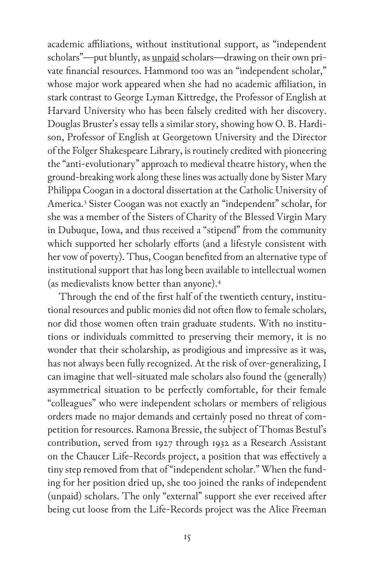academic affiliations, without institutional support, as "independent scholars"—put bluntly, as unpaid scholars—drawing on their own private financial resources. Hammond too was an "independent scholar," whose major work appeared when she had no academic affiliation, in stark contrast to George Lyman Kittredge, the Professor of English at Harvard University who has been falsely credited with her discovery. Douglas Bruster's essay tells a similar story, showing how O. B. Hardison, Professor of English at Georgetown University and the Director of the Folger Shakespeare Library, is routinely credited with pioneering the "anti-evolutionary" approach to medieval theatre history, when the ground-breaking work along these lines was actually done by Sister Mary Philippa Coogan in a doctoral dissertation at the Catholic University of America.<sup>3</sup> Sister Coogan was not exactly an "independent" scholar, for she was a member of the Sisters of Charity of the Blessed Virgin Mary in Dubuque, Iowa, and thus received a "stipend" from the community which supported her scholarly efforts (and a lifestyle consistent with her vow of poverty). Thus, Coogan benefited from an alternative type of institutional support that has long been available to intellectual women (as medievalists know better than anyone).<sup>4</sup>

Through the end of the first half of the twentieth century, institutional resources and public monies did not often flow to female scholars, nor did those women often train graduate students. With no institutions or individuals committed to preserving their memory, it is no wonder that their scholarship, as prodigious and impressive as it was, has not always been fully recognized. At the risk of over-generalizing, I can imagine that well-situated male scholars also found the (generally) asymmetrical situation to be perfectly comfortable, for their female "colleagues" who were independent scholars or members of religious orders made no major demands and certainly posed no threat of competition for resources. Ramona Bressie, the subject of Thomas Bestul's contribution, served from 1927 through 1932 as a Research Assistant on the Chaucer Life-Records project, a position that was effectively a tiny step removed from that of "independent scholar." When the funding for her position dried up, she too joined the ranks of independent (unpaid) scholars. The only "external" support she ever received after being cut loose from the Life-Records project was the Alice Freeman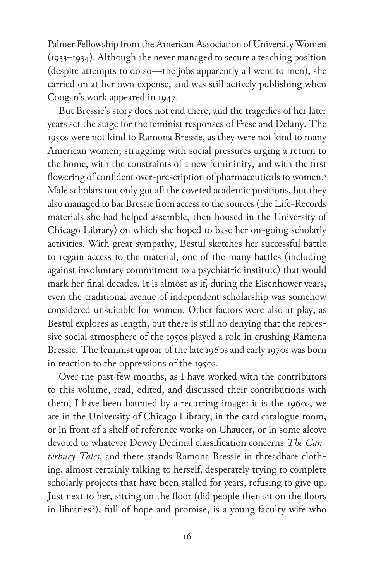Palmer Fellowship from the American Association of University Women (1933–1934). Although she never managed to secure a teaching position (despite attempts to do so—the jobs apparently all went to men), she carried on at her own expense, and was still actively publishing when Coogan's work appeared in 1947.

But Bressie's story does not end there, and the tragedies of her later years set the stage for the feminist responses of Frese and Delany. The 1950s were not kind to Ramona Bressie, as they were not kind to many American women, struggling with social pressures urging a return to the home, with the constraints of a new femininity, and with the first flowering of confident over-prescription of pharmaceuticals to women.<sup>5</sup> Male scholars not only got all the coveted academic positions, but they also managed to bar Bressie from access to the sources (the Life-Records materials she had helped assemble, then housed in the University of Chicago Library) on which she hoped to base her on-going scholarly activities. With great sympathy, Bestul sketches her successful battle to regain access to the material, one of the many battles (including against involuntary commitment to a psychiatric institute) that would mark her final decades. It is almost as if, during the Eisenhower years, even the traditional avenue of independent scholarship was somehow considered unsuitable for women. Other factors were also at play, as Bestul explores as length, but there is still no denying that the repressive social atmosphere of the 1950s played a role in crushing Ramona Bressie. The feminist uproar of the late 1960s and early 1970s was born in reaction to the oppressions of the 1950s.

Over the past few months, as I have worked with the contributors to this volume, read, edited, and discussed their contributions with them, I have been haunted by a recurring image: it is the 1960s, we are in the University of Chicago Library, in the card catalogue room, or in front of a shelf of reference works on Chaucer, or in some alcove devoted to whatever Dewey Decimal classification concerns *The Canterbury Tales*, and there stands Ramona Bressie in threadbare clothing, almost certainly talking to herself, desperately trying to complete scholarly projects that have been stalled for years, refusing to give up. Just next to her, sitting on the floor (did people then sit on the floors in libraries?), full of hope and promise, is a young faculty wife who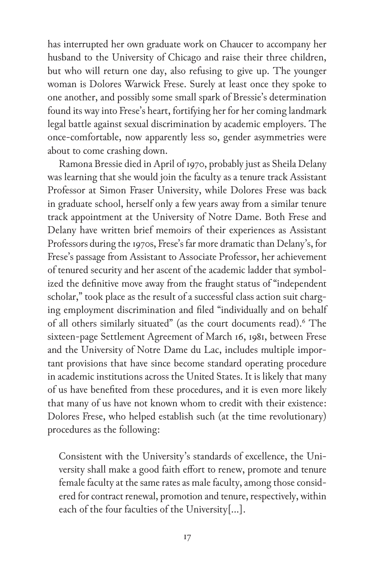has interrupted her own graduate work on Chaucer to accompany her husband to the University of Chicago and raise their three children, but who will return one day, also refusing to give up. The younger woman is Dolores Warwick Frese. Surely at least once they spoke to one another, and possibly some small spark of Bressie's determination found its way into Frese's heart, fortifying her for her coming landmark legal battle against sexual discrimination by academic employers. The once-comfortable, now apparently less so, gender asymmetries were about to come crashing down.

Ramona Bressie died in April of 1970, probably just as Sheila Delany was learning that she would join the faculty as a tenure track Assistant Professor at Simon Fraser University, while Dolores Frese was back in graduate school, herself only a few years away from a similar tenure track appointment at the University of Notre Dame. Both Frese and Delany have written brief memoirs of their experiences as Assistant Professors during the 1970s, Frese's far more dramatic than Delany's, for Frese's passage from Assistant to Associate Professor, her achievement of tenured security and her ascent of the academic ladder that symbolized the definitive move away from the fraught status of "independent scholar," took place as the result of a successful class action suit charging employment discrimination and filed "individually and on behalf of all others similarly situated" (as the court documents read).<sup>6</sup> The sixteen-page Settlement Agreement of March 16, 1981, between Frese and the University of Notre Dame du Lac, includes multiple important provisions that have since become standard operating procedure in academic institutions across the United States. It is likely that many of us have benefited from these procedures, and it is even more likely that many of us have not known whom to credit with their existence: Dolores Frese, who helped establish such (at the time revolutionary) procedures as the following:

Consistent with the University's standards of excellence, the University shall make a good faith effort to renew, promote and tenure female faculty at the same rates as male faculty, among those considered for contract renewal, promotion and tenure, respectively, within each of the four faculties of the University[…].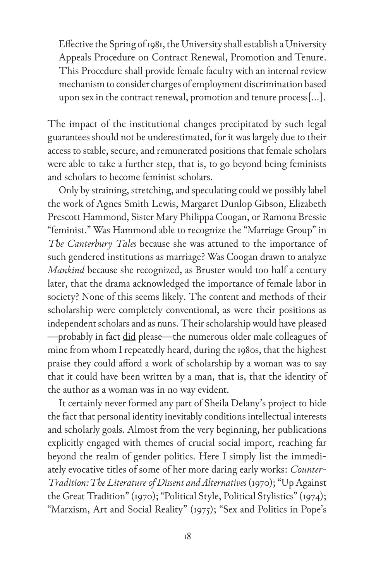Effective the Spring of 1981, the University shall establish a University Appeals Procedure on Contract Renewal, Promotion and Tenure. This Procedure shall provide female faculty with an internal review mechanism to consider charges of employment discrimination based upon sex in the contract renewal, promotion and tenure process[…].

The impact of the institutional changes precipitated by such legal guarantees should not be underestimated, for it was largely due to their access to stable, secure, and remunerated positions that female scholars were able to take a further step, that is, to go beyond being feminists and scholars to become feminist scholars.

Only by straining, stretching, and speculating could we possibly label the work of Agnes Smith Lewis, Margaret Dunlop Gibson, Elizabeth Prescott Hammond, Sister Mary Philippa Coogan, or Ramona Bressie "feminist." Was Hammond able to recognize the "Marriage Group" in *The Canterbury Tales* because she was attuned to the importance of such gendered institutions as marriage? Was Coogan drawn to analyze *Mankind* because she recognized, as Bruster would too half a century later, that the drama acknowledged the importance of female labor in society? None of this seems likely. The content and methods of their scholarship were completely conventional, as were their positions as independent scholars and as nuns. Their scholarship would have pleased —probably in fact did please—the numerous older male colleagues of mine from whom I repeatedly heard, during the 1980s, that the highest praise they could afford a work of scholarship by a woman was to say that it could have been written by a man, that is, that the identity of the author as a woman was in no way evident.

It certainly never formed any part of Sheila Delany's project to hide the fact that personal identity inevitably conditions intellectual interests and scholarly goals. Almost from the very beginning, her publications explicitly engaged with themes of crucial social import, reaching far beyond the realm of gender politics. Here I simply list the immediately evocative titles of some of her more daring early works: *Counter-Tradition: The Literature of Dissent and Alternatives* (1970); "Up Against the Great Tradition" (1970); "Political Style, Political Stylistics" (1974); "Marxism, Art and Social Reality" (1975); "Sex and Politics in Pope's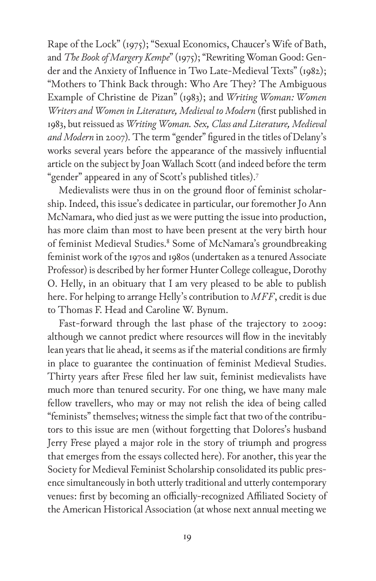Rape of the Lock" (1975); "Sexual Economics, Chaucer's Wife of Bath, and *The Book of Margery Kempe*" (1975); "Rewriting Woman Good: Gender and the Anxiety of Influence in Two Late-Medieval Texts" (1982); "Mothers to Think Back through: Who Are They? The Ambiguous Example of Christine de Pizan" (1983); and *Writing Woman: Women Writers and Women in Literature, Medieval to Modern* (first published in 1983, but reissued as *Writing Woman. Sex, Class and Literature, Medieval and Modern* in 2007)*.* The term "gender" figured in the titles of Delany's works several years before the appearance of the massively influential article on the subject by Joan Wallach Scott (and indeed before the term "gender" appeared in any of Scott's published titles).<sup>7</sup>

Medievalists were thus in on the ground floor of feminist scholarship. Indeed, this issue's dedicatee in particular, our foremother Jo Ann McNamara, who died just as we were putting the issue into production, has more claim than most to have been present at the very birth hour of feminist Medieval Studies.<sup>8</sup> Some of McNamara's groundbreaking feminist work of the 1970s and 1980s (undertaken as a tenured Associate Professor) is described by her former Hunter College colleague, Dorothy O. Helly, in an obituary that I am very pleased to be able to publish here. For helping to arrange Helly's contribution to *MFF*, credit is due to Thomas F. Head and Caroline W. Bynum.

Fast-forward through the last phase of the trajectory to 2009: although we cannot predict where resources will flow in the inevitably lean years that lie ahead, it seems as if the material conditions are firmly in place to guarantee the continuation of feminist Medieval Studies. Thirty years after Frese filed her law suit, feminist medievalists have much more than tenured security. For one thing, we have many male fellow travellers, who may or may not relish the idea of being called "feminists" themselves; witness the simple fact that two of the contributors to this issue are men (without forgetting that Dolores's husband Jerry Frese played a major role in the story of triumph and progress that emerges from the essays collected here). For another, this year the Society for Medieval Feminist Scholarship consolidated its public presence simultaneously in both utterly traditional and utterly contemporary venues: first by becoming an officially-recognized Affiliated Society of the American Historical Association (at whose next annual meeting we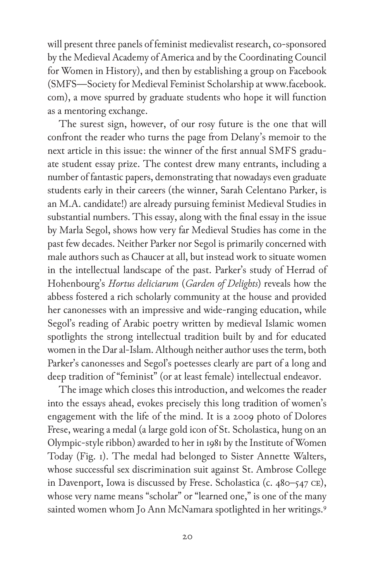will present three panels of feminist medievalist research, co-sponsored by the Medieval Academy of America and by the Coordinating Council for Women in History), and then by establishing a group on Facebook (SMFS—Society for Medieval Feminist Scholarship at www.facebook. com), a move spurred by graduate students who hope it will function as a mentoring exchange.

The surest sign, however, of our rosy future is the one that will confront the reader who turns the page from Delany's memoir to the next article in this issue: the winner of the first annual SMFS graduate student essay prize. The contest drew many entrants, including a number of fantastic papers, demonstrating that nowadays even graduate students early in their careers (the winner, Sarah Celentano Parker, is an M.A. candidate!) are already pursuing feminist Medieval Studies in substantial numbers. This essay, along with the final essay in the issue by Marla Segol, shows how very far Medieval Studies has come in the past few decades. Neither Parker nor Segol is primarily concerned with male authors such as Chaucer at all, but instead work to situate women in the intellectual landscape of the past. Parker's study of Herrad of Hohenbourg's *Hortus deliciarum* (*Garden of Delights*) reveals how the abbess fostered a rich scholarly community at the house and provided her canonesses with an impressive and wide-ranging education, while Segol's reading of Arabic poetry written by medieval Islamic women spotlights the strong intellectual tradition built by and for educated women in the Dar al-Islam. Although neither author uses the term, both Parker's canonesses and Segol's poetesses clearly are part of a long and deep tradition of "feminist" (or at least female) intellectual endeavor.

The image which closes this introduction, and welcomes the reader into the essays ahead, evokes precisely this long tradition of women's engagement with the life of the mind. It is a 2009 photo of Dolores Frese, wearing a medal (a large gold icon of St. Scholastica, hung on an Olympic-style ribbon) awarded to her in 1981 by the Institute of Women Today (Fig. 1). The medal had belonged to Sister Annette Walters, whose successful sex discrimination suit against St. Ambrose College in Davenport, Iowa is discussed by Frese. Scholastica (c. 480–547 ce), whose very name means "scholar" or "learned one," is one of the many sainted women whom Jo Ann McNamara spotlighted in her writings.<sup>9</sup>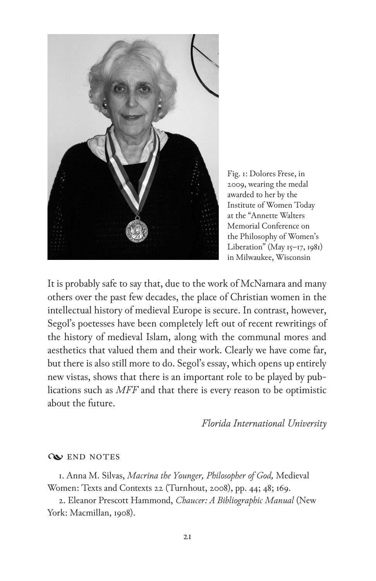

Fig. 1: Dolores Frese, in 2009, wearing the medal awarded to her by the Institute of Women Today at the "Annette Walters Memorial Conference on the Philosophy of Women's Liberation" (May  $15$ –17, 1981) in Milwaukee, Wisconsin

It is probably safe to say that, due to the work of McNamara and many others over the past few decades, the place of Christian women in the intellectual history of medieval Europe is secure. In contrast, however, Segol's poetesses have been completely left out of recent rewritings of the history of medieval Islam, along with the communal mores and aesthetics that valued them and their work. Clearly we have come far, but there is also still more to do. Segol's essay, which opens up entirely new vistas, shows that there is an important role to be played by publications such as *MFF* and that there is every reason to be optimistic about the future.

*Florida International University*

## **WEND NOTES**

1. Anna M. Silvas, *Macrina the Younger, Philosopher of God,* Medieval Women: Texts and Contexts 22 (Turnhout, 2008), pp. 44; 48; 169.

2. Eleanor Prescott Hammond, *Chaucer: A Bibliographic Manual* (New York: Macmillan, 1908).